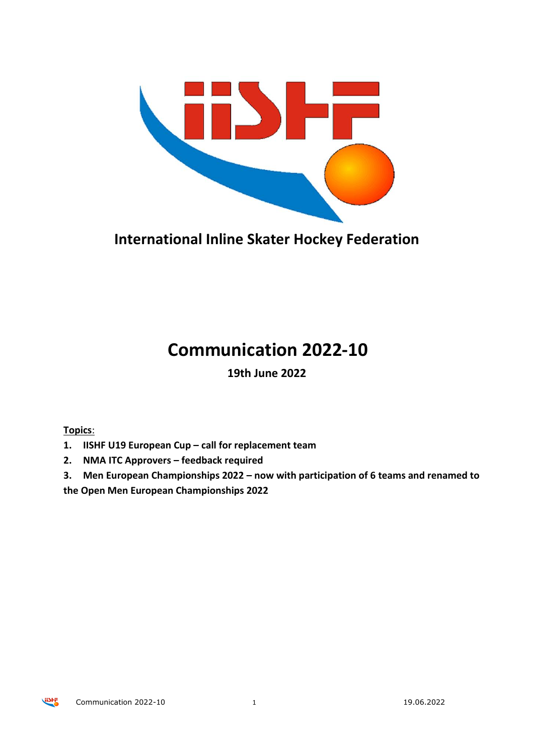

**International Inline Skater Hockey Federation**

# **Communication 2022-10**

**19th June 2022**

**Topics**:

- **1. IISHF U19 European Cup – call for replacement team**
- **2. NMA ITC Approvers – feedback required**
- **3. Men European Championships 2022 – now with participation of 6 teams and renamed to**

**the Open Men European Championships 2022**

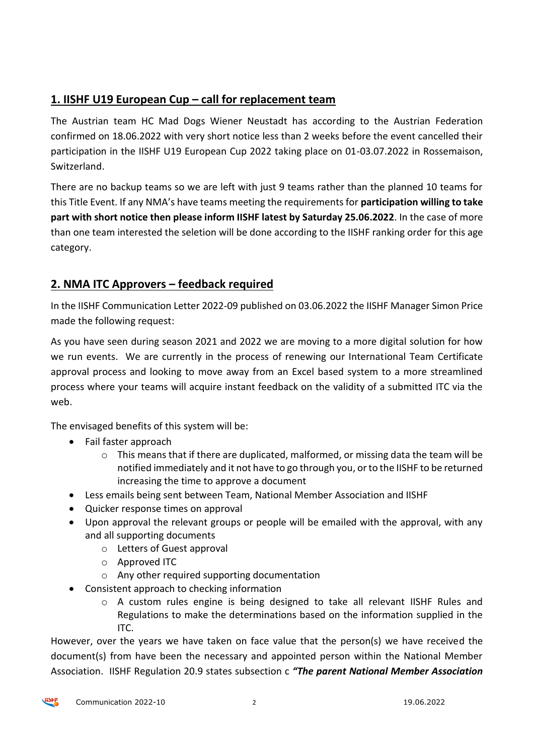### **1. IISHF U19 European Cup – call for replacement team**

The Austrian team HC Mad Dogs Wiener Neustadt has according to the Austrian Federation confirmed on 18.06.2022 with very short notice less than 2 weeks before the event cancelled their participation in the IISHF U19 European Cup 2022 taking place on 01-03.07.2022 in Rossemaison, Switzerland.

There are no backup teams so we are left with just 9 teams rather than the planned 10 teams for this Title Event. If any NMA's have teams meeting the requirements for **participation willing to take part with short notice then please inform IISHF latest by Saturday 25.06.2022**. In the case of more than one team interested the seletion will be done according to the IISHF ranking order for this age category.

#### **2. NMA ITC Approvers – feedback required**

In the IISHF Communication Letter 2022-09 published on 03.06.2022 the IISHF Manager Simon Price made the following request:

As you have seen during season 2021 and 2022 we are moving to a more digital solution for how we run events. We are currently in the process of renewing our International Team Certificate approval process and looking to move away from an Excel based system to a more streamlined process where your teams will acquire instant feedback on the validity of a submitted ITC via the web.

The envisaged benefits of this system will be:

- Fail faster approach
	- $\circ$  This means that if there are duplicated, malformed, or missing data the team will be notified immediately and it not have to go through you, or to the IISHF to be returned increasing the time to approve a document
- Less emails being sent between Team, National Member Association and IISHF
- Quicker response times on approval
- Upon approval the relevant groups or people will be emailed with the approval, with any and all supporting documents
	- o Letters of Guest approval
	- o Approved ITC
	- o Any other required supporting documentation
- Consistent approach to checking information
	- o A custom rules engine is being designed to take all relevant IISHF Rules and Regulations to make the determinations based on the information supplied in the ITC.

However, over the years we have taken on face value that the person(s) we have received the document(s) from have been the necessary and appointed person within the National Member Association. IISHF Regulation 20.9 states subsection c *"The parent National Member Association*